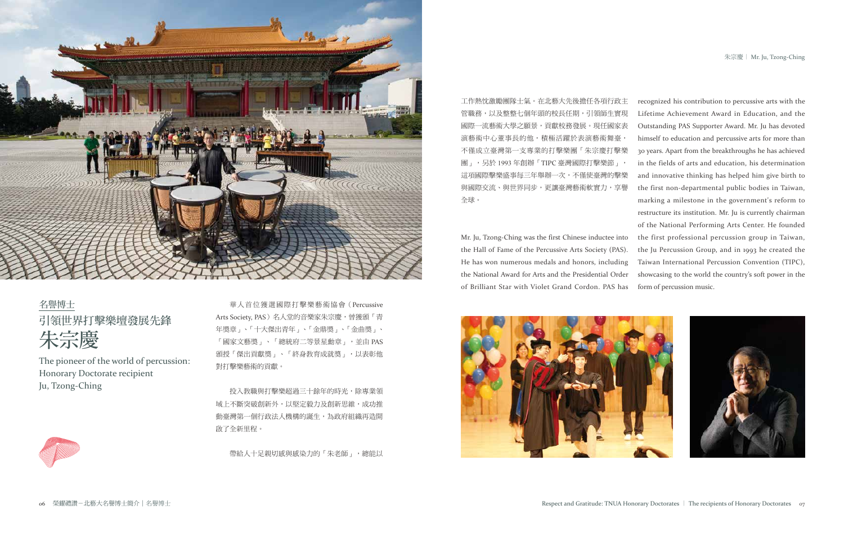



名譽博士 引領世界打擊樂壇發展先鋒 朱宗慶

The pioneer of the world of percussion: Honorary Doctorate recipient Ju, Tzong-Ching

投入教職與打擊樂超過三十餘年的時光,除專業領 域上不斷突破創新外,以堅定毅力及創新思維,成功推 動臺灣第一個行政法人機構的誕生,為政府組織再造開 啟了全新里程。

華人首位獲選國際打擊樂藝術協會(Percussive Arts Society, PAS) 名人堂的音樂家朱宗慶, 曾獲頒「青 年獎章」、「十大傑出青年」、「金鼎獎」、「金曲獎」、 「國家文藝獎」、「總統府二等景星勳章」,並由 PAS 頒授「傑出貢獻獎」、「終身教育成就獎」,以表彰他 對打擊樂藝術的貢獻。

帶給人十足親切感與感染力的「朱老師」,總能以

工作熱忱激勵團隊士氣。在北藝大先後擔任各項行政主 管職務,以及整整七個年頭的校長任期,引領師生實現 國際一流藝術大學之願景,貢獻校務發展。現任國家表 演藝術中心董事長的他,積極活躍於表演藝術舞臺, 不僅成立臺灣第一支專業的打擊樂團「朱宗慶打擊樂 團」,另於 1993 年創辦「TIPC 臺灣國際打擊樂節」, 這項國際擊樂盛事每三年舉辦一次,不僅使臺灣的擊樂 與國際交流、與世界同步,更讓臺灣藝術軟實力,享譽 全球。 Mr. Ju, Tzong-Ching was the first Chinese inductee into the Hall of Fame of the Percussive Arts Society (PAS). He has won numerous medals and honors, including the National Award for Arts and the Presidential Order of Brilliant Star with Violet Grand Cordon. PAS has recognized his contribution to percussive arts with the Lifetime Achievement Award in Education, and the Outstanding PAS Supporter Award. Mr. Ju has devoted himself to education and percussive arts for more than 30 years. Apart from the breakthroughs he has achieved in the fields of arts and education, his determination and innovative thinking has helped him give birth to the first non-departmental public bodies in Taiwan, marking a milestone in the government's reform to restructure its institution. Mr. Ju is currently chairman of the National Performing Arts Center. He founded the first professional percussion group in Taiwan, the Ju Percussion Group, and in 1993 he created the Taiwan International Percussion Convention (TIPC), showcasing to the world the country's soft power in the form of percussion music.



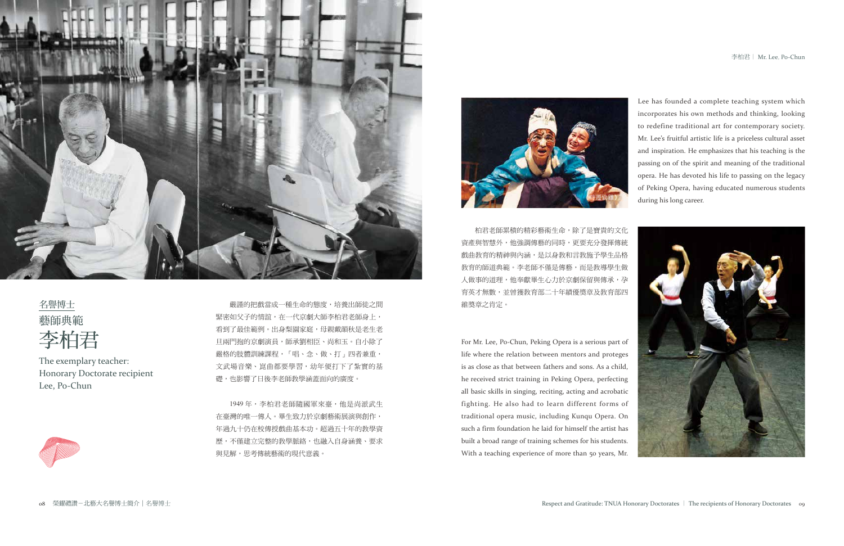



名譽博士 藝師典範 李柏君

The exemplary teacher: Honorary Doctorate recipient Lee, Po-Chun



嚴謹的把戲當成一種生命的態度,培養出師徒之間 緊密如父子的情誼,在一代京劇大師李柏君老師身上, 看到了最佳範例。出身梨園家庭,母親戴韻秋是老生老 旦兩門抱的京劇演員,師承劉相臣、尚和玉。自小除了 嚴格的肢體訓練課程,「唱、念、做、打」四者兼重, 文武場音樂、崑曲都要學習,幼年便打下了紮實的基 礎,也影響了日後李老師教學涵蓋面向的廣度。

1949 年,李柏君老師隨國軍來臺,他是尚派武生 在臺灣的唯一傳人。畢生致力於京劇藝術展演與創作, 年過九十仍在校傳授戲曲基本功。超過五十年的教學資 歷,不僅建立完整的教學脈絡,也融入自身涵養、要求 與見解,思考傳統藝術的現代意義。



柏君老師累積的精彩藝術生命,除了是寶貴的文化 資產與智慧外,他強調傳藝的同時,更要充分發揮傳統 戲曲教育的精神與內涵,是以身教和言教施予學生品格 教育的師道典範。李老師不僅是傳藝,而是教導學生做 人做事的道理,他奉獻畢生心力於京劇保留與傳承,孕 育英才無數,並曾獲教育部二十年績優獎章及教育部四 維獎章之肯定。

Lee has founded a complete teaching system which incorporates his own methods and thinking, looking to redefine traditional art for contemporary society. Mr. Lee's fruitful artistic life is a priceless cultural asset and inspiration. He emphasizes that his teaching is the passing on of the spirit and meaning of the traditional opera. He has devoted his life to passing on the legacy of Peking Opera, having educated numerous students during his long career.



For Mr. Lee, Po-Chun, Peking Opera is a serious part of life where the relation between mentors and proteges is as close as that between fathers and sons. As a child, he received strict training in Peking Opera, perfecting all basic skills in singing, reciting, acting and acrobatic fighting. He also had to learn different forms of traditional opera music, including Kunqu Opera. On such a firm foundation he laid for himself the artist has built a broad range of training schemes for his students. With a teaching experience of more than 50 years, Mr.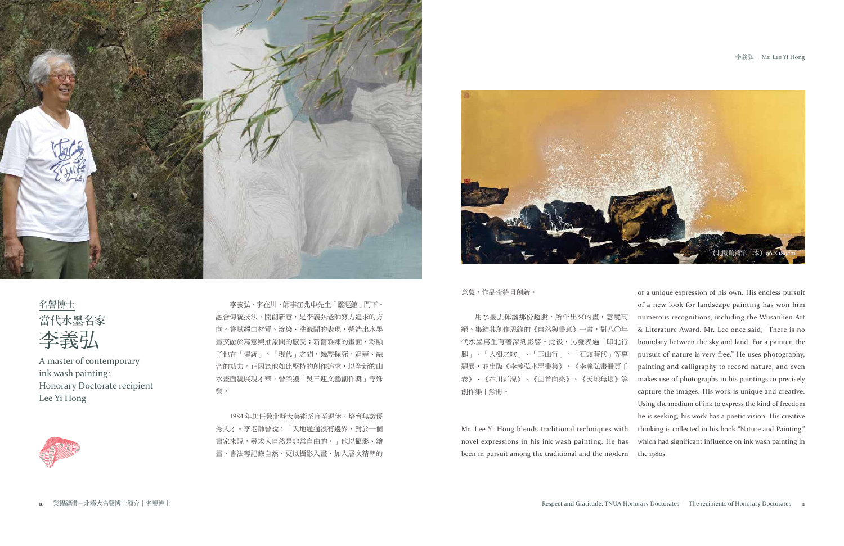#### 李義弘| Mr. Lee Yi Hong

名譽博士 當代水墨名家 李義弘

A master of contemporary ink wash painting: Honorary Doctorate recipient Lee Yi Hong



李義弘,字在川,師事江兆申先生「靈漚館」門下。 融合傳統技法,開創新意,是李義弘老師努力追求的方 向。嘗試經由材質、滲染、洗滌間的表現,營造出水墨 畫交融於寫意與抽象間的感受;新舊雜陳的畫面,彰顯 了他在「傳統」、「現代」之間,幾經探究、追尋、融 合的功力。正因為他如此堅持的創作追求,以全新的山 水畫面貌展現才華,曾榮獲「吳三連文藝創作獎」等殊 榮。

1984年起任教北藝大美術系直至退休,培育無數優 秀人才。李老師曾說:「天地通通沒有邊界,對於一個 畫家來說,尋求大自然是非常自由的。」他以攝影、繪 畫、書法等記錄自然,更以攝影入畫,加入層次精準的

意象,作品奇特且創新。 絕。集結其創作思維的《自然與畫意》一書,對八○年 代水墨寫生有著深刻影響。此後,另發表過「印北行 腳」、「大樹之歌」、「玉山行」、「石頭時代」等專 題展,並出版《李義弘水墨畫集》、《李義弘畫冊頁手 卷》、《在川近況》、《回首向來》、《天地無垠》等 創作集十餘冊。 Mr. Lee Yi Hong blends traditional techniques with novel expressions in his ink wash painting. He has been in pursuit among the traditional and the modern

用水墨去揮灑那份超脫,所作出來的畫,意境高 of a unique expression of his own. His endless pursuit of a new look for landscape painting has won him numerous recognitions, including the Wusanlien Art & Literature Award. Mr. Lee once said, "There is no boundary between the sky and land. For a painter, the pursuit of nature is very free." He uses photography, painting and calligraphy to record nature, and even makes use of photographs in his paintings to precisely capture the images. His work is unique and creative. Using the medium of ink to express the kind of freedom he is seeking, his work has a poetic vision. His creative thinking is collected in his book "Nature and Painting," which had significant influence on ink wash painting in the 1980s.



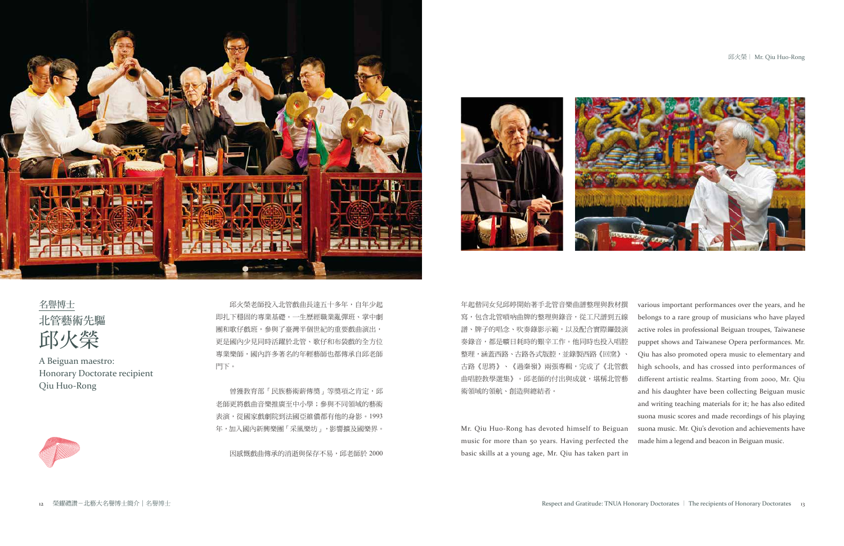## 邱火榮| Mr. Qiu Huo-Rong

邱火榮老師投入北管戲曲長達五十多年,自年少起 即扎下穩固的專業基礎。一生歷經職業亂彈班、掌中劇 團和歌仔戲班,參與了臺灣半個世紀的重要戲曲演出, 更是國內少見同時活躍於北管、歌仔和布袋戲的全方位 專業樂師,國內許多著名的年輕藝師也都傳承自邱老師 門下。

曾獲教育部「民族藝術薪傳獎」等獎項之肯定,邱 老師更將戲曲音樂推廣至中小學;參與不同領域的藝術 表演,從國家戲劇院到法國亞維儂都有他的身影。1993 年,加入國內新興樂團「采風樂坊」,影響擴及國樂界。

因感慨戲曲傳承的消逝與保存不易,邱老師於 2000

basic skills at a young age, Mr. Qiu has taken part in









名譽博士 北管藝術先驅 邱火榮

A Beiguan maestro: Honorary Doctorate recipient Qiu Huo-Rong

年起偕同女兒邱婷開始著手北管音樂曲譜整理與教材撰 寫,包含北管嗩吶曲牌的整理與錄音,從工尺譜到五線 譜、牌子的唱念、吹奏錄影示範,以及配合實際鑼鼓演 奏錄音,都是曠日耗時的艱辛工作。他同時也投入唱腔 整理,涵蓋西路、古路各式版腔,並錄製西路《回窯》、 古路《思將》、《過秦嶺》兩張專輯,完成了《北管戲 曲唱腔教學選集》。邱老師的付出與成就,堪稱北管藝 術領域的領航、創造與總結者。 Mr. Qiu Huo-Rong has devoted himself to Beiguan music for more than 50 years. Having perfected the various important performances over the years, and he belongs to a rare group of musicians who have played active roles in professional Beiguan troupes, Taiwanese puppet shows and Taiwanese Opera performances. Mr. Qiu has also promoted opera music to elementary and high schools, and has crossed into performances of different artistic realms. Starting from 2000, Mr. Qiu and his daughter have been collecting Beiguan music and writing teaching materials for it; he has also edited suona music scores and made recordings of his playing suona music. Mr. Qiu's devotion and achievements have made him a legend and beacon in Beiguan music.